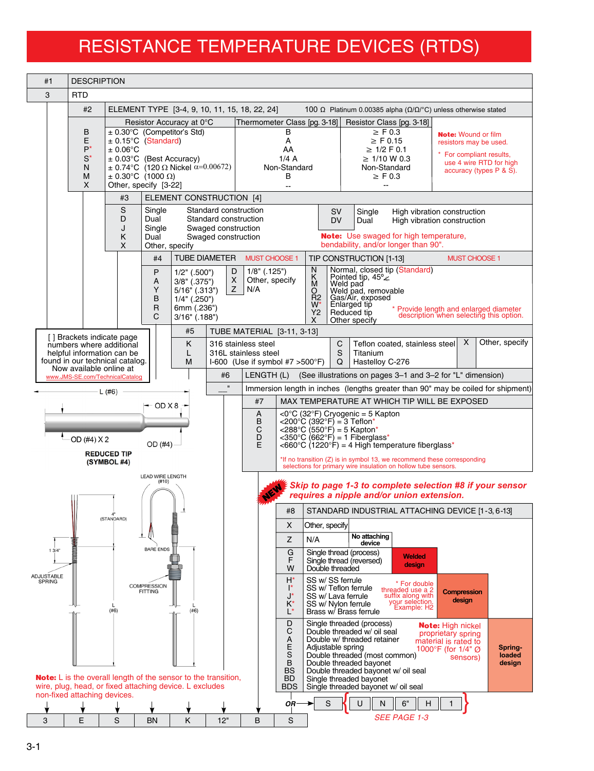## RESISTANCE TEMPERATURE DEVICES (RTDS)

| #1                                                                                                        | <b>DESCRIPTION</b>                                                          |                                                                                                                                             |                                                                                                                                                                                                                             |                                                                                                                                      |                                                                                              |                                          |                                                                                                                                                                                                                                                                                    |                                                                                                                                   |  |                                                                                                                                                                                                                                                              |                                                                                                                                      |                             |  |  |
|-----------------------------------------------------------------------------------------------------------|-----------------------------------------------------------------------------|---------------------------------------------------------------------------------------------------------------------------------------------|-----------------------------------------------------------------------------------------------------------------------------------------------------------------------------------------------------------------------------|--------------------------------------------------------------------------------------------------------------------------------------|----------------------------------------------------------------------------------------------|------------------------------------------|------------------------------------------------------------------------------------------------------------------------------------------------------------------------------------------------------------------------------------------------------------------------------------|-----------------------------------------------------------------------------------------------------------------------------------|--|--------------------------------------------------------------------------------------------------------------------------------------------------------------------------------------------------------------------------------------------------------------|--------------------------------------------------------------------------------------------------------------------------------------|-----------------------------|--|--|
| 3                                                                                                         | <b>RTD</b>                                                                  |                                                                                                                                             |                                                                                                                                                                                                                             |                                                                                                                                      |                                                                                              |                                          |                                                                                                                                                                                                                                                                                    |                                                                                                                                   |  |                                                                                                                                                                                                                                                              |                                                                                                                                      |                             |  |  |
|                                                                                                           | #2                                                                          | ELEMENT TYPE [3-4, 9, 10, 11, 15, 18, 22, 24]<br>100 Ω Platinum 0.00385 alpha ( $Ω/Ω/°C$ ) unless otherwise stated                          |                                                                                                                                                                                                                             |                                                                                                                                      |                                                                                              |                                          |                                                                                                                                                                                                                                                                                    |                                                                                                                                   |  |                                                                                                                                                                                                                                                              |                                                                                                                                      |                             |  |  |
|                                                                                                           | В<br>E<br>P*<br>$S^*$<br>N<br>М<br>X                                        | $\pm 0.06$ °C                                                                                                                               | Resistor Accuracy at 0°C<br>$\pm$ 0.30°C (Competitor's Std)<br>$± 0.15°C$ (Standard)<br>$\pm$ 0.03°C (Best Accuracy)<br>± 0.74°C (120 Ω Nickel $\alpha$ =0.00672)<br>$\pm$ 0.30°C (1000 $\Omega$ )<br>Other, specify [3-22] |                                                                                                                                      |                                                                                              |                                          | Thermometer Class [pg. 3-18]<br>в<br>Α<br>AA<br>1/4A<br>Non-Standard<br>В<br>$\sim$ $\sim$                                                                                                                                                                                         |                                                                                                                                   |  | Resistor Class [pg. 3-18]<br>$\geq$ F 0.3<br>$\geq$ F 0.15<br>$\geq$ 1/2 F 0.1<br>$\geq$ 1/10 W 0.3<br>Non-Standard<br>$\geq$ F 0.3                                                                                                                          | <b>Note:</b> Wound or film<br>resistors may be used.<br>For compliant results,<br>use 4 wire RTD for high<br>accuracy (types P & S). |                             |  |  |
|                                                                                                           | ELEMENT CONSTRUCTION [4]<br>#3                                              |                                                                                                                                             |                                                                                                                                                                                                                             |                                                                                                                                      |                                                                                              |                                          |                                                                                                                                                                                                                                                                                    |                                                                                                                                   |  |                                                                                                                                                                                                                                                              |                                                                                                                                      |                             |  |  |
|                                                                                                           | S<br>Single<br>D<br>Dual<br>J<br>Single<br>Κ<br>Dual<br>X<br>Other, specify |                                                                                                                                             |                                                                                                                                                                                                                             |                                                                                                                                      | Standard construction<br>Standard construction<br>Swaged construction<br>Swaged construction |                                          |                                                                                                                                                                                                                                                                                    | <b>SV</b><br>Single<br><b>DV</b><br>Dual<br><b>Note:</b> Use swaged for high temperature,<br>bendability, and/or longer than 90". |  |                                                                                                                                                                                                                                                              | High vibration construction<br>High vibration construction                                                                           |                             |  |  |
|                                                                                                           |                                                                             |                                                                                                                                             | #4                                                                                                                                                                                                                          |                                                                                                                                      | <b>TUBE DIAMETER</b>                                                                         | <b>MUST CHOOSE 1</b>                     |                                                                                                                                                                                                                                                                                    |                                                                                                                                   |  | TIP CONSTRUCTION [1-13]                                                                                                                                                                                                                                      | <b>MUST CHOOSE 1</b>                                                                                                                 |                             |  |  |
|                                                                                                           |                                                                             |                                                                                                                                             | P<br>A<br>Y<br>B<br>R<br>C                                                                                                                                                                                                  | $1/2$ " (.500")<br>$3/8"$ (.375")<br>$5/16$ " (.313")<br>$1/4"$ (.250")<br>6mm (.236")<br>$3/16"$ (.188")                            | D<br>X<br>Z                                                                                  | $1/8$ " (.125")<br>Other, specify<br>N/A |                                                                                                                                                                                                                                                                                    | N<br>$\overline{M}$<br>O<br>$R^2$<br>Y2<br>X                                                                                      |  | Normal, closed tip (Standard)<br>Pointed tip, 45°∠<br>Weld pad, removable<br>Gas/Air, exposed<br>Gas/Air, exposed<br>Enlarged tip<br>Reduced tip<br>Other specify                                                                                            | * Provide length and enlarged diameter<br>description when selecting this option.                                                    |                             |  |  |
|                                                                                                           | [] Brackets indicate page                                                   | numbers where additional<br>helpful information can be<br>found in our technical catalog.                                                   |                                                                                                                                                                                                                             | TUBE MATERIAL [3-11, 3-13]<br>#5<br>κ<br>316 stainless steel<br>316L stainless steel<br>L<br>M<br>$1-600$ (Use if symbol #7 > 500°F) |                                                                                              |                                          |                                                                                                                                                                                                                                                                                    | $\mathsf{X}$<br>Other, specify<br>C<br>Teflon coated, stainless steel<br>S<br>Titanium<br>Q<br>Hastelloy C-276                    |  |                                                                                                                                                                                                                                                              |                                                                                                                                      |                             |  |  |
|                                                                                                           | Now available online at                                                     | www.JMS-SE.com/TechnicalCatalog                                                                                                             |                                                                                                                                                                                                                             |                                                                                                                                      | #6                                                                                           | LENGTH (L)                               |                                                                                                                                                                                                                                                                                    |                                                                                                                                   |  | (See illustrations on pages 3–1 and 3–2 for "L" dimension)                                                                                                                                                                                                   |                                                                                                                                      |                             |  |  |
| $\mathbf{u}$<br>Immersion length in inches (lengths greater than 90" may be coiled for shipment)<br>L(#6) |                                                                             |                                                                                                                                             |                                                                                                                                                                                                                             |                                                                                                                                      |                                                                                              |                                          |                                                                                                                                                                                                                                                                                    |                                                                                                                                   |  |                                                                                                                                                                                                                                                              |                                                                                                                                      |                             |  |  |
|                                                                                                           |                                                                             | — OD X 8 →                                                                                                                                  |                                                                                                                                                                                                                             |                                                                                                                                      |                                                                                              | #7                                       | MAX TEMPERATURE AT WHICH TIP WILL BE EXPOSED                                                                                                                                                                                                                                       |                                                                                                                                   |  |                                                                                                                                                                                                                                                              |                                                                                                                                      |                             |  |  |
| OD (#4) X 2<br>OD (#4)<br><b>REDUCED TIP</b><br>(SYMBOL #4)                                               |                                                                             |                                                                                                                                             |                                                                                                                                                                                                                             |                                                                                                                                      |                                                                                              | A<br>B<br>C<br>D<br>E                    | <0°C (32°F) Cryogenic = 5 Kapton<br><200°C (392°F) = 3 Teflon*<br><288 °C (550 °F) = 5 Kapton*<br>$<$ 350°C (662°F) = 1 Fiberglass*<br><660 °C $(1220^\circ \text{F})$ = 4 High temperature fiberglass*<br>*If no transition (Z) is in symbol 13, we recommend these corresponding |                                                                                                                                   |  |                                                                                                                                                                                                                                                              |                                                                                                                                      |                             |  |  |
|                                                                                                           | <b>LEAD WIRE LENGTH</b><br>(#10)                                            |                                                                                                                                             | selections for primary wire insulation on hollow tube sensors.<br>Skip to page 1-3 to complete selection #8 if your sensor<br>requires a nipple and/or union extension.                                                     |                                                                                                                                      |                                                                                              |                                          |                                                                                                                                                                                                                                                                                    |                                                                                                                                   |  |                                                                                                                                                                                                                                                              |                                                                                                                                      |                             |  |  |
|                                                                                                           |                                                                             | (STANDARD)                                                                                                                                  |                                                                                                                                                                                                                             |                                                                                                                                      |                                                                                              |                                          | #8                                                                                                                                                                                                                                                                                 | STANDARD INDUSTRIAL ATTACHING DEVICE [1-3, 6-13]                                                                                  |  |                                                                                                                                                                                                                                                              |                                                                                                                                      |                             |  |  |
|                                                                                                           |                                                                             |                                                                                                                                             |                                                                                                                                                                                                                             |                                                                                                                                      |                                                                                              |                                          | X<br>Z                                                                                                                                                                                                                                                                             | Other, specify<br>N/A                                                                                                             |  | No attaching                                                                                                                                                                                                                                                 |                                                                                                                                      |                             |  |  |
| <b>BARE ENDS</b><br>13/4"                                                                                 |                                                                             |                                                                                                                                             |                                                                                                                                                                                                                             |                                                                                                                                      |                                                                                              |                                          | G<br>F<br>W                                                                                                                                                                                                                                                                        | Double threaded                                                                                                                   |  | device<br>Single thread (process)<br><b>Welded</b><br>Single thread (reversed)<br>design                                                                                                                                                                     |                                                                                                                                      |                             |  |  |
| ADJUSTABLE<br><b>SPRING</b>                                                                               |                                                                             | (#6)                                                                                                                                        | <b>COMPRESSION</b><br><b>FITTING</b>                                                                                                                                                                                        | (#6)                                                                                                                                 |                                                                                              |                                          | H*<br>$\mathsf{I}^*$<br>J*<br>K*<br>Ľ                                                                                                                                                                                                                                              | SS w/ SS ferrule<br>SS w/ Lava ferrule<br>SS w/ Nylon ferrule                                                                     |  | * For double<br>threaded use a 2<br>SS w/ Teflon ferrule<br>suffix along with<br>your selection.<br>Example: H2<br>Brass w/ Brass ferrule                                                                                                                    | <b>Compression</b><br>design                                                                                                         |                             |  |  |
|                                                                                                           |                                                                             | <b>Note:</b> $\mathsf{L}$ is the overall length of the sensor to the transition,<br>wire, plug, head, or fixed attaching device. L excludes |                                                                                                                                                                                                                             |                                                                                                                                      |                                                                                              |                                          | D<br>C<br>А<br>E<br>S<br>$\, {\bf B}$<br><b>BS</b><br><b>BD</b><br><b>BDS</b>                                                                                                                                                                                                      | Adjustable spring                                                                                                                 |  | Single threaded (process)<br>Double threaded w/ oil seal<br>Double w/ threaded retainer<br>Double threaded (most common)<br>Double threaded bayonet<br>Double threaded bayonet w/ oil seal<br>Single threaded bayonet<br>Single threaded bayonet w/ oil seal | Note: High nickel<br>proprietary spring<br>material is rated to<br>1000°F (for 1/4" Ø<br>sensors)                                    | Spring-<br>loaded<br>design |  |  |
|                                                                                                           | non-fixed attaching devices.                                                |                                                                                                                                             |                                                                                                                                                                                                                             |                                                                                                                                      |                                                                                              |                                          | OR <sup>.</sup>                                                                                                                                                                                                                                                                    | S                                                                                                                                 |  | U<br>N<br>6"<br>н                                                                                                                                                                                                                                            | $\mathbf{1}$                                                                                                                         |                             |  |  |
| 3                                                                                                         | E                                                                           | S                                                                                                                                           | <b>BN</b>                                                                                                                                                                                                                   | Κ                                                                                                                                    | 12"                                                                                          | B                                        | S                                                                                                                                                                                                                                                                                  |                                                                                                                                   |  | <b>SEE PAGE 1-3</b>                                                                                                                                                                                                                                          |                                                                                                                                      |                             |  |  |